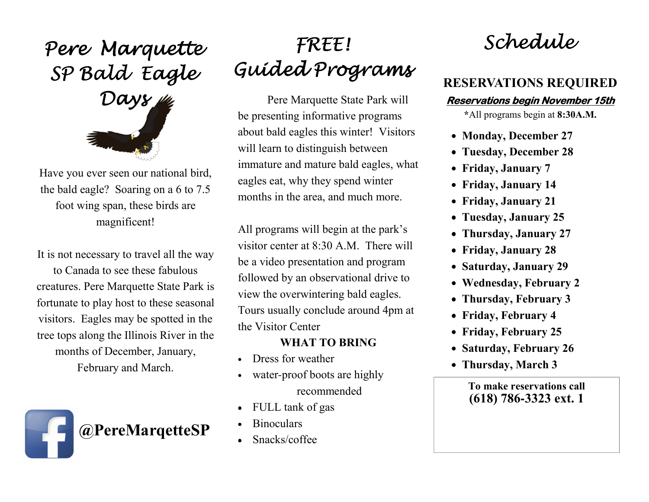Pere Marquette<br>SP Bald Eagle<br>Days



Have you ever seen our national bird, the bald eagle? Soaring on a 6 to 7.5 foot wing span, these birds are magnificent!

It is not necessary to travel all the way

to Canada to see these fabulous creatures. Pere Marquette State Park is fortunate to play host to these seasonal visitors. Eagles may be spotted in the tree tops along the Illinois River in the months of December, January, February and March.



## FREE!Guided Programs Programs

Pere Marquette State Park will be presenting informative programs about bald eagles this winter! Visitors will learn to distinguish between immature and mature bald eagles, what eagles eat, why they spend winter months in the area, and much more.

All programs will begin at the park's visitor center at 8:30 A.M. There will be a video presentation and program followed by an observational drive to view the overwintering bald eagles. Tours usually conclude around 4pm at the Visitor Center

## WHAT TO BRING

- •Dress for weather
- • water-proof boots are highly recommended
- •FULL tank of gas
- **Binoculars**
- Snacks/coffee

Schedule

## RESERVATIONS REQUIRED

## Reservations begin November 15th

\*All programs begin at 8:30A.M.

- Monday, December 27
- Tuesday, December 28
- Friday, January 7
- Friday, January 14
- Friday, January 21
- Tuesday, January 25
- Thursday, January 27
- Friday, January 28
- Saturday, January 29
- Wednesday, February 2
- Thursday, February 3
- Friday, February 4
- Friday, February 25
- Saturday, February 26
- Thursday, March 3

To make reservations call(618) 786**-**3323 ext. 1